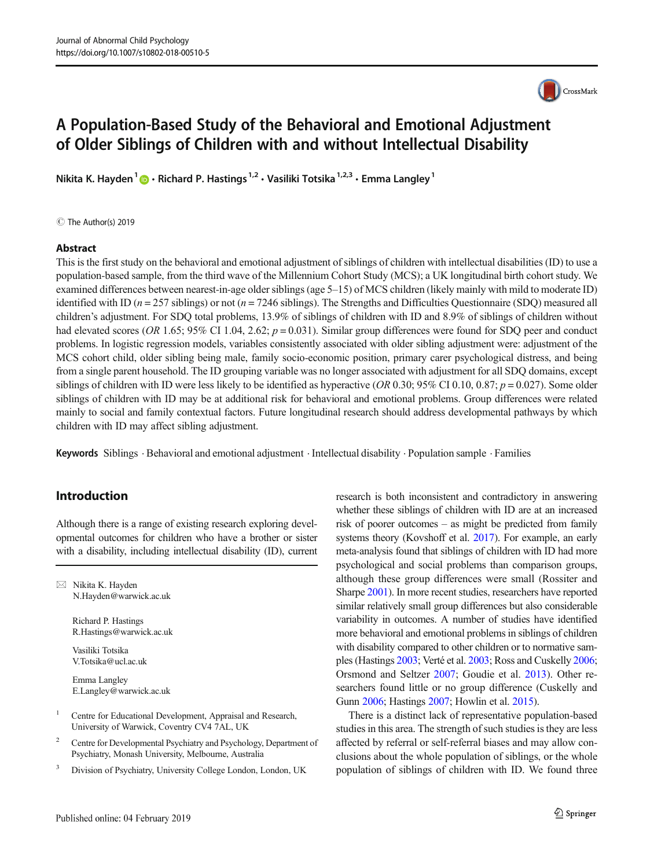

# A Population-Based Study of the Behavioral and Emotional Adjustment of Older Siblings of Children with and without Intellectual Disability

Nikita K. Hayden<sup>1</sup>  $\bullet$  Richard P. Hastings<sup>1,2</sup> · Vasiliki Totsika<sup>1,2,3</sup> · Emma Langley<sup>1</sup>

C The Author(s) 2019

#### Abstract

This is the first study on the behavioral and emotional adjustment of siblings of children with intellectual disabilities (ID) to use a population-based sample, from the third wave of the Millennium Cohort Study (MCS); a UK longitudinal birth cohort study. We examined differences between nearest-in-age older siblings (age 5–15) of MCS children (likely mainly with mild to moderate ID) identified with ID ( $n = 257$  siblings) or not ( $n = 7246$  siblings). The Strengths and Difficulties Questionnaire (SDQ) measured all children's adjustment. For SDQ total problems, 13.9% of siblings of children with ID and 8.9% of siblings of children without had elevated scores (OR 1.65; 95% CI 1.04, 2.62;  $p = 0.031$ ). Similar group differences were found for SDQ peer and conduct problems. In logistic regression models, variables consistently associated with older sibling adjustment were: adjustment of the MCS cohort child, older sibling being male, family socio-economic position, primary carer psychological distress, and being from a single parent household. The ID grouping variable was no longer associated with adjustment for all SDQ domains, except siblings of children with ID were less likely to be identified as hyperactive (OR 0.30; 95% CI 0.10, 0.87;  $p = 0.027$ ). Some older siblings of children with ID may be at additional risk for behavioral and emotional problems. Group differences were related mainly to social and family contextual factors. Future longitudinal research should address developmental pathways by which children with ID may affect sibling adjustment.

Keywords Siblings . Behavioral and emotional adjustment . Intellectual disability . Population sample . Families

# Introduction

Although there is a range of existing research exploring developmental outcomes for children who have a brother or sister with a disability, including intellectual disability (ID), current

 $\boxtimes$  Nikita K. Hayden [N.Hayden@warwick.ac.uk](mailto:N.Hayden@warwick.ac.uk)

> Richard P. Hastings R.Hastings@warwick.ac.uk

Vasiliki Totsika V.Totsika@ucl.ac.uk

Emma Langley E.Langley@warwick.ac.uk

- <sup>1</sup> Centre for Educational Development, Appraisal and Research, University of Warwick, Coventry CV4 7AL, UK
- <sup>2</sup> Centre for Developmental Psychiatry and Psychology, Department of Psychiatry, Monash University, Melbourne, Australia
- <sup>3</sup> Division of Psychiatry, University College London, London, UK

research is both inconsistent and contradictory in answering whether these siblings of children with ID are at an increased risk of poorer outcomes – as might be predicted from family systems theory (Kovshoff et al. [2017](#page-9-0)). For example, an early meta-analysis found that siblings of children with ID had more psychological and social problems than comparison groups, although these group differences were small (Rossiter and Sharpe [2001\)](#page-9-0). In more recent studies, researchers have reported similar relatively small group differences but also considerable variability in outcomes. A number of studies have identified more behavioral and emotional problems in siblings of children with disability compared to other children or to normative samples (Hastings [2003;](#page-9-0) Verté et al. [2003;](#page-10-0) Ross and Cuskelly [2006;](#page-9-0) Orsmond and Seltzer [2007](#page-9-0); Goudie et al. [2013](#page-9-0)). Other researchers found little or no group difference (Cuskelly and Gunn [2006](#page-8-0); Hastings [2007](#page-9-0); Howlin et al. [2015](#page-9-0)).

There is a distinct lack of representative population-based studies in this area. The strength of such studies is they are less affected by referral or self-referral biases and may allow conclusions about the whole population of siblings, or the whole population of siblings of children with ID. We found three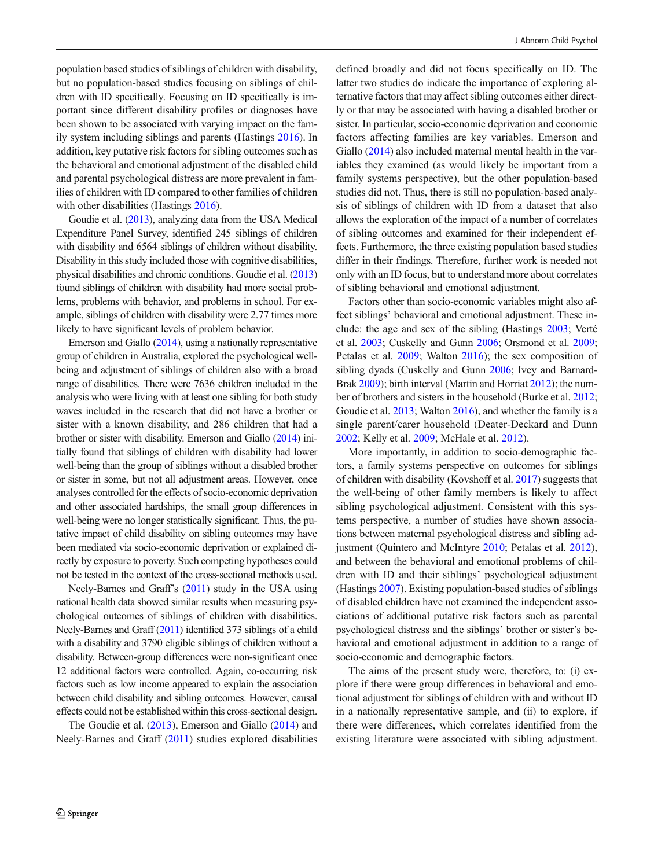population based studies of siblings of children with disability, but no population-based studies focusing on siblings of children with ID specifically. Focusing on ID specifically is important since different disability profiles or diagnoses have been shown to be associated with varying impact on the family system including siblings and parents (Hastings [2016\)](#page-9-0). In addition, key putative risk factors for sibling outcomes such as the behavioral and emotional adjustment of the disabled child and parental psychological distress are more prevalent in families of children with ID compared to other families of children with other disabilities (Hastings [2016\)](#page-9-0).

Goudie et al. [\(2013\)](#page-9-0), analyzing data from the USA Medical Expenditure Panel Survey, identified 245 siblings of children with disability and 6564 siblings of children without disability. Disability in this study included those with cognitive disabilities, physical disabilities and chronic conditions. Goudie et al. [\(2013\)](#page-9-0) found siblings of children with disability had more social problems, problems with behavior, and problems in school. For example, siblings of children with disability were 2.77 times more likely to have significant levels of problem behavior.

Emerson and Giallo [\(2014](#page-8-0)), using a nationally representative group of children in Australia, explored the psychological wellbeing and adjustment of siblings of children also with a broad range of disabilities. There were 7636 children included in the analysis who were living with at least one sibling for both study waves included in the research that did not have a brother or sister with a known disability, and 286 children that had a brother or sister with disability. Emerson and Giallo ([2014\)](#page-8-0) initially found that siblings of children with disability had lower well-being than the group of siblings without a disabled brother or sister in some, but not all adjustment areas. However, once analyses controlled for the effects of socio-economic deprivation and other associated hardships, the small group differences in well-being were no longer statistically significant. Thus, the putative impact of child disability on sibling outcomes may have been mediated via socio-economic deprivation or explained directly by exposure to poverty. Such competing hypotheses could not be tested in the context of the cross-sectional methods used.

Neely-Barnes and Graff's [\(2011\)](#page-9-0) study in the USA using national health data showed similar results when measuring psychological outcomes of siblings of children with disabilities. Neely-Barnes and Graff [\(2011\)](#page-9-0) identified 373 siblings of a child with a disability and 3790 eligible siblings of children without a disability. Between-group differences were non-significant once 12 additional factors were controlled. Again, co-occurring risk factors such as low income appeared to explain the association between child disability and sibling outcomes. However, causal effects could not be established within this cross-sectional design.

The Goudie et al. [\(2013\)](#page-9-0), Emerson and Giallo [\(2014\)](#page-8-0) and Neely-Barnes and Graff [\(2011\)](#page-9-0) studies explored disabilities defined broadly and did not focus specifically on ID. The latter two studies do indicate the importance of exploring alternative factors that may affect sibling outcomes either directly or that may be associated with having a disabled brother or sister. In particular, socio-economic deprivation and economic factors affecting families are key variables. Emerson and Giallo ([2014](#page-8-0)) also included maternal mental health in the variables they examined (as would likely be important from a family systems perspective), but the other population-based studies did not. Thus, there is still no population-based analysis of siblings of children with ID from a dataset that also allows the exploration of the impact of a number of correlates of sibling outcomes and examined for their independent effects. Furthermore, the three existing population based studies differ in their findings. Therefore, further work is needed not only with an ID focus, but to understand more about correlates of sibling behavioral and emotional adjustment.

Factors other than socio-economic variables might also affect siblings' behavioral and emotional adjustment. These include: the age and sex of the sibling (Hastings [2003;](#page-9-0) Verté et al. [2003](#page-10-0); Cuskelly and Gunn [2006;](#page-8-0) Orsmond et al. [2009;](#page-9-0) Petalas et al. [2009;](#page-9-0) Walton [2016\)](#page-10-0); the sex composition of sibling dyads (Cuskelly and Gunn [2006;](#page-8-0) Ivey and Barnard-Brak [2009\)](#page-9-0); birth interval (Martin and Horriat [2012](#page-9-0)); the number of brothers and sisters in the household (Burke et al. [2012;](#page-8-0) Goudie et al. [2013](#page-9-0); Walton [2016](#page-10-0)), and whether the family is a single parent/carer household (Deater-Deckard and Dunn [2002;](#page-8-0) Kelly et al. [2009](#page-9-0); McHale et al. [2012\)](#page-9-0).

More importantly, in addition to socio-demographic factors, a family systems perspective on outcomes for siblings of children with disability (Kovshoff et al. [2017](#page-9-0)) suggests that the well-being of other family members is likely to affect sibling psychological adjustment. Consistent with this systems perspective, a number of studies have shown associations between maternal psychological distress and sibling adjustment (Quintero and McIntyre [2010;](#page-9-0) Petalas et al. [2012\)](#page-9-0), and between the behavioral and emotional problems of children with ID and their siblings' psychological adjustment (Hastings [2007\)](#page-9-0). Existing population-based studies of siblings of disabled children have not examined the independent associations of additional putative risk factors such as parental psychological distress and the siblings' brother or sister's behavioral and emotional adjustment in addition to a range of socio-economic and demographic factors.

The aims of the present study were, therefore, to: (i) explore if there were group differences in behavioral and emotional adjustment for siblings of children with and without ID in a nationally representative sample, and (ii) to explore, if there were differences, which correlates identified from the existing literature were associated with sibling adjustment.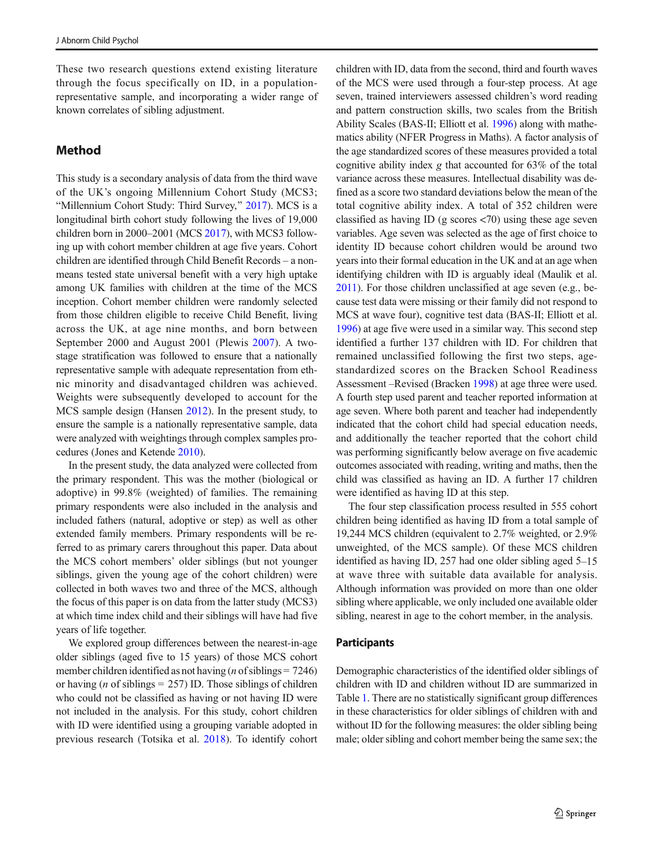These two research questions extend existing literature through the focus specifically on ID, in a populationrepresentative sample, and incorporating a wider range of known correlates of sibling adjustment.

# Method

This study is a secondary analysis of data from the third wave of the UK's ongoing Millennium Cohort Study (MCS3; "Millennium Cohort Study: Third Survey," [2017](#page-8-0)). MCS is a longitudinal birth cohort study following the lives of 19,000 children born in 2000–2001 (MCS [2017](#page-9-0)), with MCS3 following up with cohort member children at age five years. Cohort children are identified through Child Benefit Records – a nonmeans tested state universal benefit with a very high uptake among UK families with children at the time of the MCS inception. Cohort member children were randomly selected from those children eligible to receive Child Benefit, living across the UK, at age nine months, and born between September 2000 and August 2001 (Plewis [2007](#page-9-0)). A twostage stratification was followed to ensure that a nationally representative sample with adequate representation from ethnic minority and disadvantaged children was achieved. Weights were subsequently developed to account for the MCS sample design (Hansen [2012](#page-9-0)). In the present study, to ensure the sample is a nationally representative sample, data were analyzed with weightings through complex samples procedures (Jones and Ketende [2010\)](#page-9-0).

In the present study, the data analyzed were collected from the primary respondent. This was the mother (biological or adoptive) in 99.8% (weighted) of families. The remaining primary respondents were also included in the analysis and included fathers (natural, adoptive or step) as well as other extended family members. Primary respondents will be referred to as primary carers throughout this paper. Data about the MCS cohort members' older siblings (but not younger siblings, given the young age of the cohort children) were collected in both waves two and three of the MCS, although the focus of this paper is on data from the latter study (MCS3) at which time index child and their siblings will have had five years of life together.

We explored group differences between the nearest-in-age older siblings (aged five to 15 years) of those MCS cohort member children identified as not having (*n* of siblings =  $7246$ ) or having (*n* of siblings  $= 257$ ) ID. Those siblings of children who could not be classified as having or not having ID were not included in the analysis. For this study, cohort children with ID were identified using a grouping variable adopted in previous research (Totsika et al. [2018\)](#page-10-0). To identify cohort children with ID, data from the second, third and fourth waves of the MCS were used through a four-step process. At age seven, trained interviewers assessed children's word reading and pattern construction skills, two scales from the British Ability Scales (BAS-II; Elliott et al. [1996\)](#page-8-0) along with mathematics ability (NFER Progress in Maths). A factor analysis of the age standardized scores of these measures provided a total cognitive ability index g that accounted for 63% of the total variance across these measures. Intellectual disability was defined as a score two standard deviations below the mean of the total cognitive ability index. A total of 352 children were classified as having ID (g scores <70) using these age seven variables. Age seven was selected as the age of first choice to identity ID because cohort children would be around two years into their formal education in the UK and at an age when identifying children with ID is arguably ideal (Maulik et al. [2011](#page-9-0)). For those children unclassified at age seven (e.g., because test data were missing or their family did not respond to MCS at wave four), cognitive test data (BAS-II; Elliott et al. [1996\)](#page-8-0) at age five were used in a similar way. This second step identified a further 137 children with ID. For children that remained unclassified following the first two steps, agestandardized scores on the Bracken School Readiness Assessment –Revised (Bracken [1998](#page-8-0)) at age three were used. A fourth step used parent and teacher reported information at age seven. Where both parent and teacher had independently indicated that the cohort child had special education needs, and additionally the teacher reported that the cohort child was performing significantly below average on five academic outcomes associated with reading, writing and maths, then the child was classified as having an ID. A further 17 children were identified as having ID at this step.

The four step classification process resulted in 555 cohort children being identified as having ID from a total sample of 19,244 MCS children (equivalent to 2.7% weighted, or 2.9% unweighted, of the MCS sample). Of these MCS children identified as having ID, 257 had one older sibling aged 5–15 at wave three with suitable data available for analysis. Although information was provided on more than one older sibling where applicable, we only included one available older sibling, nearest in age to the cohort member, in the analysis.

#### **Participants**

Demographic characteristics of the identified older siblings of children with ID and children without ID are summarized in Table [1](#page-3-0). There are no statistically significant group differences in these characteristics for older siblings of children with and without ID for the following measures: the older sibling being male; older sibling and cohort member being the same sex; the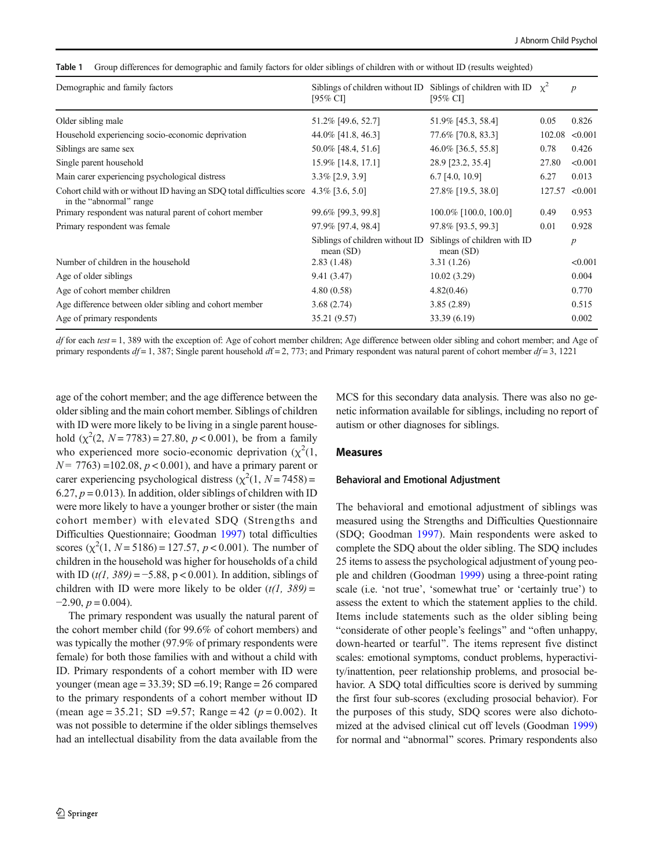<span id="page-3-0"></span>Table 1 Group differences for demographic and family factors for older siblings of children with or without ID (results weighted)

| Demographic and family factors                                                                                       | Siblings of children without ID<br>$[95\%$ CI] | Siblings of children with ID $\chi^2$<br>[95% CI] |        | $\boldsymbol{p}$ |
|----------------------------------------------------------------------------------------------------------------------|------------------------------------------------|---------------------------------------------------|--------|------------------|
| Older sibling male                                                                                                   | 51.2% [49.6, 52.7]                             | 51.9% [45.3, 58.4]                                | 0.05   | 0.826            |
| Household experiencing socio-economic deprivation                                                                    | 44.0% [41.8, 46.3]                             | 77.6% [70.8, 83.3]                                | 102.08 | < 0.001          |
| Siblings are same sex                                                                                                | 50.0% [48.4, 51.6]                             | 46.0% [36.5, 55.8]                                | 0.78   | 0.426            |
| Single parent household                                                                                              | 15.9% [14.8, 17.1]                             | 28.9 [23.2, 35.4]                                 | 27.80  | < 0.001          |
| Main carer experiencing psychological distress                                                                       | $3.3\%$ [2.9, 3.9]                             | $6.7$ [4.0, 10.9]                                 | 6.27   | 0.013            |
| Cohort child with or without ID having an SDQ total difficulties score $4.3\%$ [3.6, 5.0]<br>in the "abnormal" range |                                                | 27.8% [19.5, 38.0]                                | 127.57 | < 0.001          |
| Primary respondent was natural parent of cohort member                                                               | 99.6% [99.3, 99.8]                             | 100.0% [100.0, 100.0]                             | 0.49   | 0.953            |
| Primary respondent was female                                                                                        | 97.9% [97.4, 98.4]                             | 97.8% [93.5, 99.3]                                | 0.01   | 0.928            |
|                                                                                                                      | Siblings of children without ID<br>mean $(SD)$ | Siblings of children with ID<br>mean $(SD)$       |        | $\boldsymbol{p}$ |
| Number of children in the household                                                                                  | 2.83(1.48)                                     | 3.31(1.26)                                        |        | < 0.001          |
| Age of older siblings                                                                                                | 9.41(3.47)                                     | 10.02(3.29)                                       |        | 0.004            |
| Age of cohort member children                                                                                        | 4.80(0.58)                                     | 4.82(0.46)                                        |        | 0.770            |
| Age difference between older sibling and cohort member                                                               | 3.68(2.74)                                     | 3.85(2.89)                                        |        | 0.515            |
| Age of primary respondents                                                                                           | 35.21 (9.57)                                   | 33.39 (6.19)                                      |        | 0.002            |

df for each test = 1, 389 with the exception of: Age of cohort member children; Age difference between older sibling and cohort member; and Age of primary respondents  $df = 1$ , 387; Single parent household  $df = 2$ , 773; and Primary respondent was natural parent of cohort member  $df = 3$ , 1221

age of the cohort member; and the age difference between the older sibling and the main cohort member. Siblings of children with ID were more likely to be living in a single parent household  $(\chi^2(2, N = 7783)) = 27.80, p < 0.001$ ), be from a family who experienced more socio-economic deprivation  $(\chi^2(1,$  $N = 7763$ ) = 102.08,  $p < 0.001$ ), and have a primary parent or carer experiencing psychological distress  $(\chi^2(1, N = 7458))$  = 6.27,  $p = 0.013$ ). In addition, older siblings of children with ID were more likely to have a younger brother or sister (the main cohort member) with elevated SDQ (Strengths and Difficulties Questionnaire; Goodman [1997](#page-9-0)) total difficulties scores  $(\chi^2(1, N = 5186) = 127.57, p < 0.001)$ . The number of children in the household was higher for households of a child with ID (t(1, 389) =  $-5.88$ , p < 0.001). In addition, siblings of children with ID were more likely to be older  $(t/1, 389)$  =  $-2.90, p = 0.004$ .

The primary respondent was usually the natural parent of the cohort member child (for 99.6% of cohort members) and was typically the mother (97.9% of primary respondents were female) for both those families with and without a child with ID. Primary respondents of a cohort member with ID were younger (mean age =  $33.39$ ; SD =  $6.19$ ; Range =  $26$  compared to the primary respondents of a cohort member without ID (mean age = 35.21; SD = 9.57; Range = 42 ( $p = 0.002$ ). It was not possible to determine if the older siblings themselves had an intellectual disability from the data available from the MCS for this secondary data analysis. There was also no genetic information available for siblings, including no report of autism or other diagnoses for siblings.

#### Measures

#### Behavioral and Emotional Adjustment

The behavioral and emotional adjustment of siblings was measured using the Strengths and Difficulties Questionnaire (SDQ; Goodman [1997\)](#page-9-0). Main respondents were asked to complete the SDQ about the older sibling. The SDQ includes 25 items to assess the psychological adjustment of young people and children (Goodman [1999\)](#page-9-0) using a three-point rating scale (i.e. 'not true', 'somewhat true' or 'certainly true') to assess the extent to which the statement applies to the child. Items include statements such as the older sibling being "considerate of other people's feelings" and "often unhappy, down-hearted or tearful^. The items represent five distinct scales: emotional symptoms, conduct problems, hyperactivity/inattention, peer relationship problems, and prosocial behavior. A SDQ total difficulties score is derived by summing the first four sub-scores (excluding prosocial behavior). For the purposes of this study, SDQ scores were also dichotomized at the advised clinical cut off levels (Goodman [1999](#page-9-0)) for normal and "abnormal" scores. Primary respondents also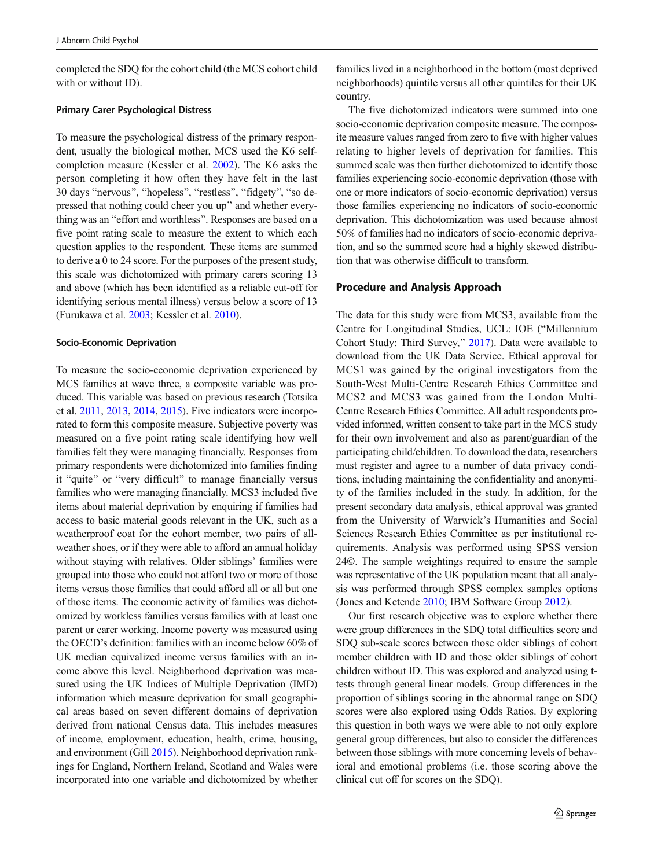completed the SDQ for the cohort child (the MCS cohort child with or without ID).

#### Primary Carer Psychological Distress

To measure the psychological distress of the primary respondent, usually the biological mother, MCS used the K6 selfcompletion measure (Kessler et al. [2002](#page-9-0)). The K6 asks the person completing it how often they have felt in the last 30 days "nervous", "hopeless", "restless", "fidgety", "so depressed that nothing could cheer you up^ and whether everything was an "effort and worthless". Responses are based on a five point rating scale to measure the extent to which each question applies to the respondent. These items are summed to derive a 0 to 24 score. For the purposes of the present study, this scale was dichotomized with primary carers scoring 13 and above (which has been identified as a reliable cut-off for identifying serious mental illness) versus below a score of 13 (Furukawa et al. [2003;](#page-9-0) Kessler et al. [2010\)](#page-9-0).

#### Socio-Economic Deprivation

To measure the socio-economic deprivation experienced by MCS families at wave three, a composite variable was produced. This variable was based on previous research (Totsika et al. [2011,](#page-10-0) [2013,](#page-10-0) [2014](#page-10-0), [2015](#page-10-0)). Five indicators were incorporated to form this composite measure. Subjective poverty was measured on a five point rating scale identifying how well families felt they were managing financially. Responses from primary respondents were dichotomized into families finding it "quite" or "very difficult" to manage financially versus families who were managing financially. MCS3 included five items about material deprivation by enquiring if families had access to basic material goods relevant in the UK, such as a weatherproof coat for the cohort member, two pairs of allweather shoes, or if they were able to afford an annual holiday without staying with relatives. Older siblings' families were grouped into those who could not afford two or more of those items versus those families that could afford all or all but one of those items. The economic activity of families was dichotomized by workless families versus families with at least one parent or carer working. Income poverty was measured using the OECD's definition: families with an income below 60% of UK median equivalized income versus families with an income above this level. Neighborhood deprivation was measured using the UK Indices of Multiple Deprivation (IMD) information which measure deprivation for small geographical areas based on seven different domains of deprivation derived from national Census data. This includes measures of income, employment, education, health, crime, housing, and environment (Gill [2015](#page-9-0)). Neighborhood deprivation rankings for England, Northern Ireland, Scotland and Wales were incorporated into one variable and dichotomized by whether

families lived in a neighborhood in the bottom (most deprived neighborhoods) quintile versus all other quintiles for their UK country.

The five dichotomized indicators were summed into one socio-economic deprivation composite measure. The composite measure values ranged from zero to five with higher values relating to higher levels of deprivation for families. This summed scale was then further dichotomized to identify those families experiencing socio-economic deprivation (those with one or more indicators of socio-economic deprivation) versus those families experiencing no indicators of socio-economic deprivation. This dichotomization was used because almost 50% of families had no indicators of socio-economic deprivation, and so the summed score had a highly skewed distribution that was otherwise difficult to transform.

#### Procedure and Analysis Approach

The data for this study were from MCS3, available from the Centre for Longitudinal Studies, UCL: IOE ("Millennium Cohort Study: Third Survey,^ [2017\)](#page-8-0). Data were available to download from the UK Data Service. Ethical approval for MCS1 was gained by the original investigators from the South-West Multi-Centre Research Ethics Committee and MCS2 and MCS3 was gained from the London Multi-Centre Research Ethics Committee. All adult respondents provided informed, written consent to take part in the MCS study for their own involvement and also as parent/guardian of the participating child/children. To download the data, researchers must register and agree to a number of data privacy conditions, including maintaining the confidentiality and anonymity of the families included in the study. In addition, for the present secondary data analysis, ethical approval was granted from the University of Warwick's Humanities and Social Sciences Research Ethics Committee as per institutional requirements. Analysis was performed using SPSS version 24©. The sample weightings required to ensure the sample was representative of the UK population meant that all analysis was performed through SPSS complex samples options (Jones and Ketende [2010;](#page-9-0) IBM Software Group [2012\)](#page-9-0).

Our first research objective was to explore whether there were group differences in the SDQ total difficulties score and SDQ sub-scale scores between those older siblings of cohort member children with ID and those older siblings of cohort children without ID. This was explored and analyzed using ttests through general linear models. Group differences in the proportion of siblings scoring in the abnormal range on SDQ scores were also explored using Odds Ratios. By exploring this question in both ways we were able to not only explore general group differences, but also to consider the differences between those siblings with more concerning levels of behavioral and emotional problems (i.e. those scoring above the clinical cut off for scores on the SDQ).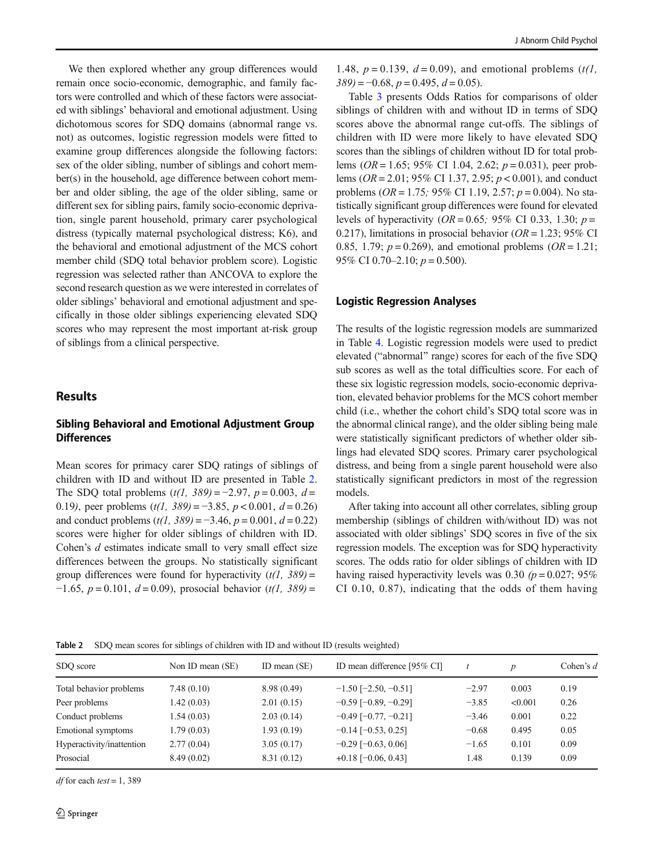We then explored whether any group differences would remain once socio-economic, demographic, and family factors were controlled and which of these factors were associated with siblings' behavioral and emotional adjustment. Using dichotomous scores for SDQ domains (abnormal range vs. not) as outcomes, logistic regression models were fitted to examine group differences alongside the following factors: sex of the older sibling, number of siblings and cohort member(s) in the household, age difference between cohort member and older sibling, the age of the older sibling, same or different sex for sibling pairs, family socio-economic deprivation, single parent household, primary carer psychological distress (typically maternal psychological distress; K6), and the behavioral and emotional adjustment of the MCS cohort member child (SDQ total behavior problem score). Logistic regression was selected rather than ANCOVA to explore the second research question as we were interested in correlates of older siblings' behavioral and emotional adjustment and specifically in those older siblings experiencing elevated SDQ scores who may represent the most important at-risk group of siblings from a clinical perspective.

## **Results**

## Sibling Behavioral and Emotional Adjustment Group **Differences**

Mean scores for primacy carer SDQ ratings of siblings of children with ID and without ID are presented in Table 2. The SDQ total problems  $(t/1, 389) = -2.97$ ,  $p = 0.003$ ,  $d =$ 0.19), peer problems  $(t/1, 389) = -3.85$ ,  $p < 0.001$ ,  $d = 0.26$ and conduct problems  $(t/1, 389) = -3.46$ ,  $p = 0.001$ ,  $d = 0.22$ ) scores were higher for older siblings of children with ID. Cohen's *d* estimates indicate small to very small effect size differences between the groups. No statistically significant group differences were found for hyperactivity  $(t/1, 389)$  =  $-1.65$ ,  $p = 0.101$ ,  $d = 0.09$ ), prosocial behavior (t(1, 389) =

1.48,  $p = 0.139$ ,  $d = 0.09$ ), and emotional problems (t(1,  $389$ ) = -0.68, p = 0.495, d = 0.05).

Table [3](#page-6-0) presents Odds Ratios for comparisons of older siblings of children with and without ID in terms of SDQ scores above the abnormal range cut-offs. The siblings of children with ID were more likely to have elevated SDQ scores than the siblings of children without ID for total problems (*OR* = 1.65; 95% CI 1.04, 2.62;  $p = 0.031$ ), peer problems ( $OR = 2.01$ ; 95% CI 1.37, 2.95;  $p < 0.001$ ), and conduct problems ( $OR = 1.75$ ; 95% CI 1.19, 2.57;  $p = 0.004$ ). No statistically significant group differences were found for elevated levels of hyperactivity ( $OR = 0.65$ ; 95% CI 0.33, 1.30;  $p =$ 0.217), limitations in prosocial behavior ( $OR = 1.23$ ; 95% CI 0.85, 1.79;  $p = 0.269$ ), and emotional problems ( $OR = 1.21$ ; 95% CI 0.70–2.10;  $p = 0.500$ ).

#### Logistic Regression Analyses

The results of the logistic regression models are summarized in Table [4](#page-7-0). Logistic regression models were used to predict elevated ("abnormal" range) scores for each of the five SDQ sub scores as well as the total difficulties score. For each of these six logistic regression models, socio-economic deprivation, elevated behavior problems for the MCS cohort member child (i.e., whether the cohort child's SDQ total score was in the abnormal clinical range), and the older sibling being male were statistically significant predictors of whether older siblings had elevated SDQ scores. Primary carer psychological distress, and being from a single parent household were also statistically significant predictors in most of the regression models.

After taking into account all other correlates, sibling group membership (siblings of children with/without ID) was not associated with older siblings' SDQ scores in five of the six regression models. The exception was for SDQ hyperactivity scores. The odds ratio for older siblings of children with ID having raised hyperactivity levels was 0.30  $(p = 0.027; 95\%)$ CI 0.10, 0.87), indicating that the odds of them having

Table 2 SDQ mean scores for siblings of children with ID and without ID (results weighted)

| SDQ score                 | Non ID mean (SE) | ID mean $(SE)$ | ID mean difference [95% CI]   |         | $\boldsymbol{D}$ | Cohen's $d$ |
|---------------------------|------------------|----------------|-------------------------------|---------|------------------|-------------|
| Total behavior problems   | 7.48(0.10)       | 8.98 (0.49)    | $-1.50$ [ $-2.50$ , $-0.51$ ] | $-2.97$ | 0.003            | 0.19        |
| Peer problems             | 1.42(0.03)       | 2.01(0.15)     | $-0.59$ [ $-0.89$ , $-0.29$ ] | $-3.85$ | < 0.001          | 0.26        |
| Conduct problems          | 1.54(0.03)       | 2.03(0.14)     | $-0.49$ [ $-0.77, -0.21$ ]    | $-3.46$ | 0.001            | 0.22        |
| <b>Emotional symptoms</b> | 1.79(0.03)       | 1.93(0.19)     | $-0.14$ [ $-0.53$ , 0.25]     | $-0.68$ | 0.495            | 0.05        |
| Hyperactivity/inattention | 2.77(0.04)       | 3.05(0.17)     | $-0.29$ [ $-0.63$ , 0.06]     | $-1.65$ | 0.101            | 0.09        |
| Prosocial                 | 8.49(0.02)       | 8.31(0.12)     | $+0.18$ [-0.06, 0.43]         | 1.48    | 0.139            | 0.09        |

*df* for each *test* = 1, 389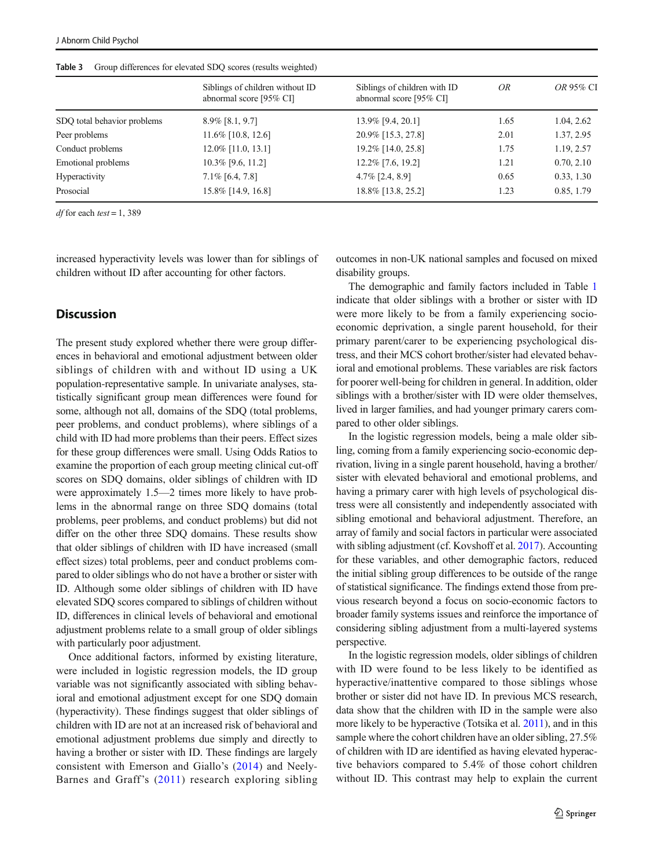|                             | Siblings of children without ID<br>abnormal score [95% CI] | Siblings of children with ID<br>abnormal score [95% CI] | <i>OR</i> | OR 95% CI  |
|-----------------------------|------------------------------------------------------------|---------------------------------------------------------|-----------|------------|
| SDQ total behavior problems | $8.9\%$ [8.1, 9.7]                                         | 13.9% [9.4, 20.1]                                       | 1.65      | 1.04, 2.62 |
| Peer problems               | 11.6% [10.8, 12.6]                                         | 20.9% [15.3, 27.8]                                      | 2.01      | 1.37, 2.95 |
| Conduct problems            | $12.0\%$ [11.0, 13.1]                                      | 19.2% [14.0, 25.8]                                      | 1.75      | 1.19, 2.57 |
| Emotional problems          | $10.3\%$ [9.6, 11.2]                                       | 12.2% [7.6, 19.2]                                       | 1.21      | 0.70, 2.10 |
| Hyperactivity               | $7.1\%$ [6.4, 7.8]                                         | $4.7\%$ [2.4, 8.9]                                      | 0.65      | 0.33, 1.30 |
| Prosocial                   | 15.8% [14.9, 16.8]                                         | 18.8% [13.8, 25.2]                                      | 1.23      | 0.85, 1.79 |
|                             |                                                            |                                                         |           |            |

<span id="page-6-0"></span>Table 3 Group differences for elevated SDO scores (results weighted)

 $df$  for each test = 1, 389

increased hyperactivity levels was lower than for siblings of children without ID after accounting for other factors.

## **Discussion**

The present study explored whether there were group differences in behavioral and emotional adjustment between older siblings of children with and without ID using a UK population-representative sample. In univariate analyses, statistically significant group mean differences were found for some, although not all, domains of the SDQ (total problems, peer problems, and conduct problems), where siblings of a child with ID had more problems than their peers. Effect sizes for these group differences were small. Using Odds Ratios to examine the proportion of each group meeting clinical cut-off scores on SDQ domains, older siblings of children with ID were approximately 1.5—2 times more likely to have problems in the abnormal range on three SDQ domains (total problems, peer problems, and conduct problems) but did not differ on the other three SDQ domains. These results show that older siblings of children with ID have increased (small effect sizes) total problems, peer and conduct problems compared to older siblings who do not have a brother or sister with ID. Although some older siblings of children with ID have elevated SDQ scores compared to siblings of children without ID, differences in clinical levels of behavioral and emotional adjustment problems relate to a small group of older siblings with particularly poor adjustment.

Once additional factors, informed by existing literature, were included in logistic regression models, the ID group variable was not significantly associated with sibling behavioral and emotional adjustment except for one SDQ domain (hyperactivity). These findings suggest that older siblings of children with ID are not at an increased risk of behavioral and emotional adjustment problems due simply and directly to having a brother or sister with ID. These findings are largely consistent with Emerson and Giallo's [\(2014\)](#page-8-0) and Neely-Barnes and Graff's ([2011](#page-9-0)) research exploring sibling outcomes in non-UK national samples and focused on mixed disability groups.

The demographic and family factors included in Table [1](#page-3-0) indicate that older siblings with a brother or sister with ID were more likely to be from a family experiencing socioeconomic deprivation, a single parent household, for their primary parent/carer to be experiencing psychological distress, and their MCS cohort brother/sister had elevated behavioral and emotional problems. These variables are risk factors for poorer well-being for children in general. In addition, older siblings with a brother/sister with ID were older themselves, lived in larger families, and had younger primary carers compared to other older siblings.

In the logistic regression models, being a male older sibling, coming from a family experiencing socio-economic deprivation, living in a single parent household, having a brother/ sister with elevated behavioral and emotional problems, and having a primary carer with high levels of psychological distress were all consistently and independently associated with sibling emotional and behavioral adjustment. Therefore, an array of family and social factors in particular were associated with sibling adjustment (cf. Kovshoff et al. [2017](#page-9-0)). Accounting for these variables, and other demographic factors, reduced the initial sibling group differences to be outside of the range of statistical significance. The findings extend those from previous research beyond a focus on socio-economic factors to broader family systems issues and reinforce the importance of considering sibling adjustment from a multi-layered systems perspective.

In the logistic regression models, older siblings of children with ID were found to be less likely to be identified as hyperactive/inattentive compared to those siblings whose brother or sister did not have ID. In previous MCS research, data show that the children with ID in the sample were also more likely to be hyperactive (Totsika et al. [2011\)](#page-10-0), and in this sample where the cohort children have an older sibling, 27.5% of children with ID are identified as having elevated hyperactive behaviors compared to 5.4% of those cohort children without ID. This contrast may help to explain the current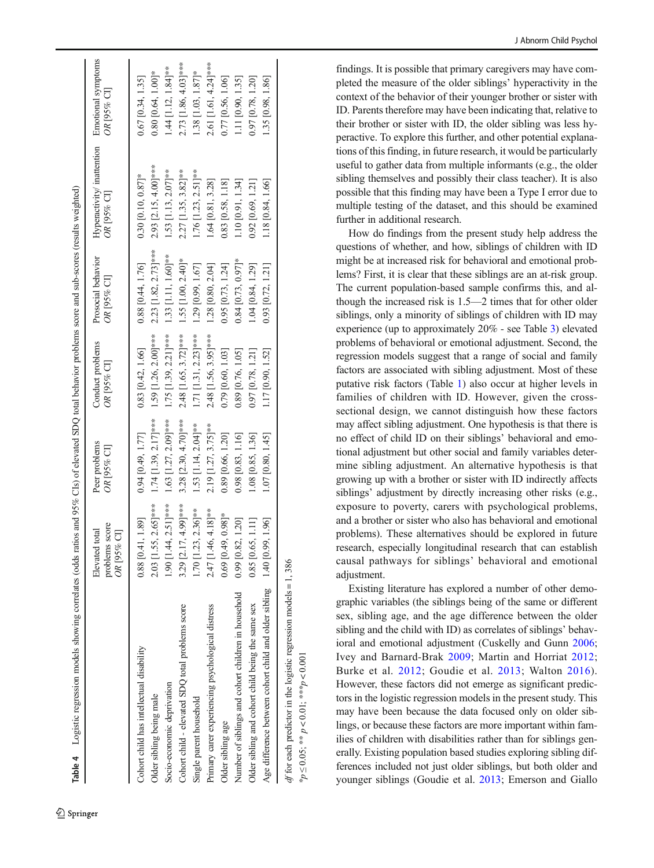<span id="page-7-0"></span>

| Table 4 Logistic regression models showing correlates (odds ratios and 95% CIs) of elevated SDQ total behavior problems score and sub-scores (results weighted) |                                                 |                              |                                 |                                   |                                                              |                          |
|-----------------------------------------------------------------------------------------------------------------------------------------------------------------|-------------------------------------------------|------------------------------|---------------------------------|-----------------------------------|--------------------------------------------------------------|--------------------------|
|                                                                                                                                                                 | problems score<br>Elevated total<br>OR [95% CI] | Peer problems<br>OR [95% CI] | Conduct problems<br>OR [95% CI] | Prosocial behavior<br>OR [95% CI] | Hyperactivity/ inattention Emotional symptoms<br>OR [95% CI] | OR [95% CI]              |
| Cohort child has intellectual disability                                                                                                                        | $0.88$ [0.41, 1.89]                             | $0.94$ [0.49, 1.77]          | $0.83$ [0.42, 1.66]             | $0.88$ [0.44, 1.76]               | $0.30$ [0.10, 0.87]*                                         | $0.67$ [0.34, 1.35]      |
| Older sibling being male                                                                                                                                        | $2.03$ [1.55, $2.65$ ]***                       | $1.74$ [1.39, 2.17]***       | 1.59 [1.26, 2.00]***            | 2.23 [1.82, 2.73]***              | 2.93 [2.15, 4.00]***                                         | $0.80$ [0.64, 1.00]*     |
| Socio-economic deprivation                                                                                                                                      | $1.90$ [1.44, 2.51]***                          | $1.63$ [1.27, 2.09]***       | $1.75$ [1.39, 2.21]***          | 1.33 [1.11, 1.60]**               | $1.53$ [1.13, $2.07$ ]**                                     | $1.44$ [1.12, $1.84$ ]** |
| Cohort child - elevated SDQ total problems score                                                                                                                | 3.29 [2.17, 4.99]***                            | $3.28$ [2.30, 4.70]***       | 2.48 [1.65, 3.72]***            | 1.55 [1.00, 2.40]*                | $2.27$ [1.35, 3.82]**                                        | 2.73 [1.86, 4.03]***     |
| Single parent household                                                                                                                                         | $1.70$ [1.23, 2.36]**                           | 1.53 [1.14, $2.04$ ]**       | $1.71$ [1.31, 2.23]***          | 1.29 [0.99, 1.67]                 | $1.76$ [1.23, 2.51]**                                        | $1.38$ [1.03, $1.87$ ]*  |
| Primary carer experiencing psychological distress                                                                                                               | 2.47 [1.46, 4.18]**                             | $2.19$ [1.27, 3.75]**        | 2.48 [1.56, 3.95]***            | 1.28 [0.80, 2.04]                 | $1.64$ [0.81, 3.28]                                          | 2.61 [1.61, 4.24]***     |
| Older sibling age                                                                                                                                               | $0.69$ [0.49, 0.98]*                            | 0.89 [0.66, 1.20]            | 0.79 [0.60, 1.03]               | $0.95$ [0.73, 1.24]               | 0.83 [0.58, 1.18]                                            | $0.77$ [0.56, 1.06]      |
| Number of siblings and cohort children in household                                                                                                             | $0.99$ [0.82, 1.20]                             | $0.98$ [0.83, 1.16]          | 0.89 [0.76, 1.05]               | $0.84$ [0.73, 0.97]*              | 1.10 [0.91, 1.34]                                            | 1.11 [0.90, 1.35]        |
| Older sibling and cohort child being the same sex                                                                                                               | $0.85$ [0.65, 1.11]                             | 1.08 [0.85, 1.36]            | $0.97$ [0.78, 1.21]             | 1.04 [0.84, 1.29]                 | $0.92$ [0.69, 1.21]                                          | 0.97 [0.78, 1.20]        |
| Age difference between cohort child and older sibling 1.40 [0.99, 1.96]                                                                                         |                                                 | 1.07 [0.80, 1.45]            | 1.17 [0.90, 1.52]               | $0.93$ [0.72, 1.21]               | 1.18 [0.84, 1.66]                                            | 1.35 [0.98, 1.86]        |
| <i>df</i> for each predictor in the logistic regression models = 1, 386                                                                                         |                                                 |                              |                                 |                                   |                                                              |                          |

Table 4

 $-1, 4, -4$ 

 $100<sub>L</sub>$ 

É  $\gamma$  $\epsilon$   $\gamma$  J Abnorm Child Psychol

findings. It is possible that primary caregivers may have completed the measure of the older siblings' hyperactivity in the context of the behavior of their younger brother or sister with ID. Parents therefore may have been indicating that, relative to their brother or sister with ID, the older sibling was less hyperactive. To explore this further, and other potential explanations of this finding, in future research, it would be particularly useful to gather data from multiple informants (e.g., the older sibling themselves and possibly their class teacher). It is also possible that this finding may have been a Type I error due to multiple testing of the dataset, and this should be examined further in additional research.

How do findings from the present study help address the questions of whether, and how, siblings of children with ID might be at increased risk for behavioral and emotional problems? First, it is clear that these siblings are an at-risk group. The current population-based sample confirms this, and although the increased risk is 1.5—2 times that for other older siblings, only a minority of siblings of children with ID may experience (up to approximately 20% - see Table [3](#page-6-0)) elevated problems of behavioral or emotional adjustment. Second, the regression models suggest that a range of social and family factors are associated with sibling adjustment. Most of these putative risk factors (Table [1](#page-3-0)) also occur at higher levels in families of children with ID. However, given the crosssectional design, we cannot distinguish how these factors may affect sibling adjustment. One hypothesis is that there is no effect of child ID on their siblings ' behavioral and emotional adjustment but other social and family variables determine sibling adjustment. An alternative hypothesis is that growing up with a brother or sister with ID indirectly affects siblings ' adjustment by directly increasing other risks (e.g., exposure to poverty, carers with psychological problems, and a brother or sister who also has behavioral and emotional problems). These alternatives should be explored in future research, especially longitudinal research that can establish causal pathways for siblings ' behavioral and emotional adjustment.

Existing literature has explored a number of other demographic variables (the siblings being of the same or different sex, sibling age, and the age difference between the older sibling and the child with ID) as correlates of siblings ' behavioral and emotional adjustment (Cuskelly and Gunn [2006;](#page-8-0) Ivey and Barnard-Brak [2009;](#page-9-0) Martin and Horriat [2012](#page-9-0) ; Burke et al. [2012](#page-8-0); Goudie et al. [2013;](#page-9-0) Walton [2016](#page-10-0)). However, these factors did not emerge as significant predictors in the logistic regression models in the present study. This may have been because the data focused only on older siblings, or because these factors are more important within families of children with disabilities rather than for siblings generally. Existing population based studies exploring sibling differences included not just older siblings, but both older and younger siblings (Goudie et al. [2013;](#page-9-0) Emerson and Giallo

 $*p \le 0.05$ ;  $* p < 0.01$ ;  $*** p < 0.001$ 

\* $p \le 0.05$ ; \*\*  $p < 0.01$ ; \*\*\* $p < 0.00$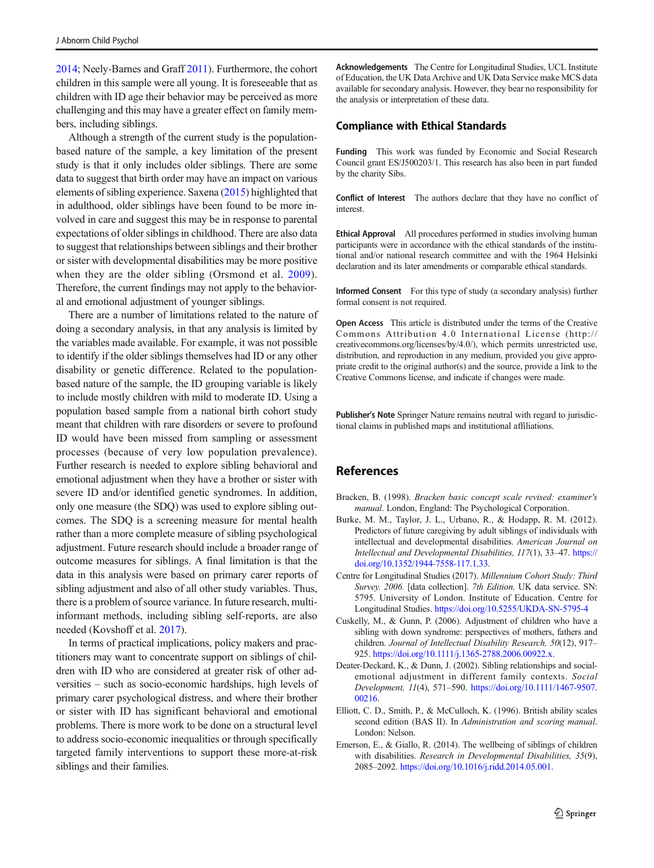<span id="page-8-0"></span>2014; Neely-Barnes and Graff [2011\)](#page-9-0). Furthermore, the cohort children in this sample were all young. It is foreseeable that as children with ID age their behavior may be perceived as more challenging and this may have a greater effect on family members, including siblings.

Although a strength of the current study is the populationbased nature of the sample, a key limitation of the present study is that it only includes older siblings. There are some data to suggest that birth order may have an impact on various elements of sibling experience. Saxena [\(2015\)](#page-9-0) highlighted that in adulthood, older siblings have been found to be more involved in care and suggest this may be in response to parental expectations of older siblings in childhood. There are also data to suggest that relationships between siblings and their brother or sister with developmental disabilities may be more positive when they are the older sibling (Orsmond et al. [2009](#page-9-0)). Therefore, the current findings may not apply to the behavioral and emotional adjustment of younger siblings.

There are a number of limitations related to the nature of doing a secondary analysis, in that any analysis is limited by the variables made available. For example, it was not possible to identify if the older siblings themselves had ID or any other disability or genetic difference. Related to the populationbased nature of the sample, the ID grouping variable is likely to include mostly children with mild to moderate ID. Using a population based sample from a national birth cohort study meant that children with rare disorders or severe to profound ID would have been missed from sampling or assessment processes (because of very low population prevalence). Further research is needed to explore sibling behavioral and emotional adjustment when they have a brother or sister with severe ID and/or identified genetic syndromes. In addition, only one measure (the SDQ) was used to explore sibling outcomes. The SDQ is a screening measure for mental health rather than a more complete measure of sibling psychological adjustment. Future research should include a broader range of outcome measures for siblings. A final limitation is that the data in this analysis were based on primary carer reports of sibling adjustment and also of all other study variables. Thus, there is a problem of source variance. In future research, multiinformant methods, including sibling self-reports, are also needed (Kovshoff et al. [2017\)](#page-9-0).

In terms of practical implications, policy makers and practitioners may want to concentrate support on siblings of children with ID who are considered at greater risk of other adversities – such as socio-economic hardships, high levels of primary carer psychological distress, and where their brother or sister with ID has significant behavioral and emotional problems. There is more work to be done on a structural level to address socio-economic inequalities or through specifically targeted family interventions to support these more-at-risk siblings and their families.

Acknowledgements The Centre for Longitudinal Studies, UCL Institute of Education, the UK Data Archive and UK Data Service make MCS data available for secondary analysis. However, they bear no responsibility for the analysis or interpretation of these data.

#### Compliance with Ethical Standards

Funding This work was funded by Economic and Social Research Council grant ES/J500203/1. This research has also been in part funded by the charity Sibs.

Conflict of Interest The authors declare that they have no conflict of interest.

Ethical Approval All procedures performed in studies involving human participants were in accordance with the ethical standards of the institutional and/or national research committee and with the 1964 Helsinki declaration and its later amendments or comparable ethical standards.

Informed Consent For this type of study (a secondary analysis) further formal consent is not required.

Open Access This article is distributed under the terms of the Creative Commons Attribution 4.0 International License (http:// creativecommons.org/licenses/by/4.0/), which permits unrestricted use, distribution, and reproduction in any medium, provided you give appropriate credit to the original author(s) and the source, provide a link to the Creative Commons license, and indicate if changes were made.

Publisher's Note Springer Nature remains neutral with regard to jurisdictional claims in published maps and institutional affiliations.

## References

- Bracken, B. (1998). Bracken basic concept scale revised: examiner's manual. London, England: The Psychological Corporation.
- Burke, M. M., Taylor, J. L., Urbano, R., & Hodapp, R. M. (2012). Predictors of future caregiving by adult siblings of individuals with intellectual and developmental disabilities. American Journal on Intellectual and Developmental Disabilities, 117(1), 33–47. [https://](https://doi.org/10.1352/1944-7558-117.1.33) [doi.org/10.1352/1944-7558-117.1.33.](https://doi.org/10.1352/1944-7558-117.1.33)
- Centre for Longitudinal Studies (2017). Millennium Cohort Study: Third Survey. 2006. [data collection]. 7th Edition. UK data service. SN: 5795. University of London. Institute of Education. Centre for Longitudinal Studies. <https://doi.org/10.5255/UKDA-SN-5795-4>
- Cuskelly, M., & Gunn, P. (2006). Adjustment of children who have a sibling with down syndrome: perspectives of mothers, fathers and children. Journal of Intellectual Disability Research, 50(12), 917– 925. <https://doi.org/10.1111/j.1365-2788.2006.00922.x>.
- Deater-Deckard, K., & Dunn, J. (2002). Sibling relationships and socialemotional adjustment in different family contexts. Social Development, 11(4), 571–590. [https://doi.org/10.1111/1467-9507.](https://doi.org/10.1111/1467-9507.00216) [00216.](https://doi.org/10.1111/1467-9507.00216)
- Elliott, C. D., Smith, P., & McCulloch, K. (1996). British ability scales second edition (BAS II). In Administration and scoring manual. London: Nelson.
- Emerson, E., & Giallo, R. (2014). The wellbeing of siblings of children with disabilities. Research in Developmental Disabilities, 35(9), 2085–2092. <https://doi.org/10.1016/j.ridd.2014.05.001>.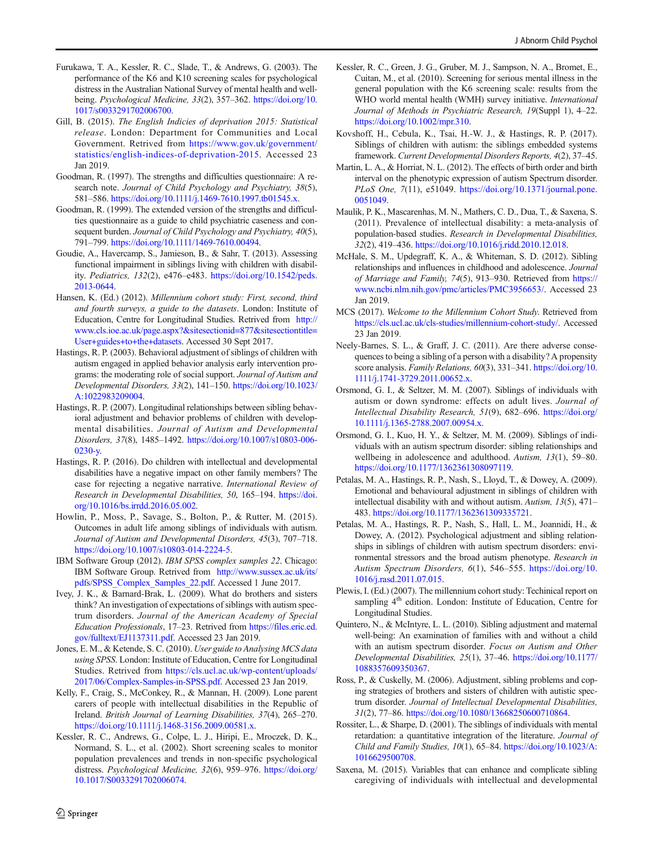- <span id="page-9-0"></span>Furukawa, T. A., Kessler, R. C., Slade, T., & Andrews, G. (2003). The performance of the K6 and K10 screening scales for psychological distress in the Australian National Survey of mental health and wellbeing. Psychological Medicine, 33(2), 357–362. [https://doi.org/10.](https://doi.org/10.1017/s0033291702006700) [1017/s0033291702006700](https://doi.org/10.1017/s0033291702006700).
- Gill, B. (2015). The English Indicies of deprivation 2015: Statistical release. London: Department for Communities and Local Government. Retrived from [https://www.gov.uk/government/](https://www.gov.uk/government/statistics/english-indices-of-deprivation-2015) [statistics/english-indices-of-deprivation-2015](https://www.gov.uk/government/statistics/english-indices-of-deprivation-2015). Accessed 23 Jan 2019.
- Goodman, R. (1997). The strengths and difficulties questionnaire: A research note. Journal of Child Psychology and Psychiatry, 38(5), 581–586. <https://doi.org/10.1111/j.1469-7610.1997.tb01545.x>.
- Goodman, R. (1999). The extended version of the strengths and difficulties questionnaire as a guide to child psychiatric caseness and consequent burden. Journal of Child Psychology and Psychiatry, 40(5), 791–799. [https://doi.org/10.1111/1469-7610.00494.](https://doi.org/10.1111/1469-7610.00494)
- Goudie, A., Havercamp, S., Jamieson, B., & Sahr, T. (2013). Assessing functional impairment in siblings living with children with disability. Pediatrics, 132(2), e476–e483. [https://doi.org/10.1542/peds.](https://doi.org/10.1542/peds.2013-0644) [2013-0644.](https://doi.org/10.1542/peds.2013-0644)
- Hansen, K. (Ed.) (2012). Millennium cohort study: First, second, third and fourth surveys, a guide to the datasets. London: Institute of Education, Centre for Longitudinal Studies. Retrived from [http://](http://www.cls.ioe.ac.uk/page.aspx?&sitesectionid=877&sitesectiontitle=User+guides+to+the+datasets) [www.cls.ioe.ac.uk/page.aspx?&sitesectionid=877&sitesectiontitle=](http://www.cls.ioe.ac.uk/page.aspx?&sitesectionid=877&sitesectiontitle=User+guides+to+the+datasets) [User+guides+to+the+datasets](http://www.cls.ioe.ac.uk/page.aspx?&sitesectionid=877&sitesectiontitle=User+guides+to+the+datasets). Accessed 30 Sept 2017.
- Hastings, R. P. (2003). Behavioral adjustment of siblings of children with autism engaged in applied behavior analysis early intervention programs: the moderating role of social support. Journal of Autism and Developmental Disorders, 33(2), 141–150. [https://doi.org/10.1023/](https://doi.org/10.1023/A:1022983209004) [A:1022983209004.](https://doi.org/10.1023/A:1022983209004)
- Hastings, R. P. (2007). Longitudinal relationships between sibling behavioral adjustment and behavior problems of children with developmental disabilities. Journal of Autism and Developmental Disorders, 37(8), 1485–1492. [https://doi.org/10.1007/s10803-006-](https://doi.org/10.1007/s10803-006-0230-y) [0230-y.](https://doi.org/10.1007/s10803-006-0230-y)
- Hastings, R. P. (2016). Do children with intellectual and developmental disabilities have a negative impact on other family members? The case for rejecting a negative narrative. International Review of Research in Developmental Disabilities, 50, 165–194. [https://doi.](https://doi.org/10.1016/bs.irrdd.2016.05.002) [org/10.1016/bs.irrdd.2016.05.002](https://doi.org/10.1016/bs.irrdd.2016.05.002).
- Howlin, P., Moss, P., Savage, S., Bolton, P., & Rutter, M. (2015). Outcomes in adult life among siblings of individuals with autism. Journal of Autism and Developmental Disorders, 45(3), 707–718. [https://doi.org/10.1007/s10803-014-2224-5.](https://doi.org/10.1007/s10803-014-2224-5)
- IBM Software Group (2012). IBM SPSS complex samples 22. Chicago: IBM Software Group. Retrived from [http://www.sussex.ac.uk/its/](http://www.sussex.ac.uk/its/pdfs/SPSS_Complex_Samples_22.pdf) [pdfs/SPSS\\_Complex\\_Samples\\_22.pdf](http://www.sussex.ac.uk/its/pdfs/SPSS_Complex_Samples_22.pdf). Accessed 1 June 2017.
- Ivey, J. K., & Barnard-Brak, L. (2009). What do brothers and sisters think? An investigation of expectations of siblings with autism spectrum disorders. Journal of the American Academy of Special Education Professionals, 17–23. Retrived from [https://files.eric.ed.](https://files.eric.ed.gov/fulltext/EJ1137311.pdf) [gov/fulltext/EJ1137311.pdf.](https://files.eric.ed.gov/fulltext/EJ1137311.pdf) Accessed 23 Jan 2019.
- Jones, E. M., & Ketende, S. C. (2010). User guide to Analysing MCS data using SPSS. London: Institute of Education, Centre for Longitudinal Studies. Retrived from [https://cls.ucl.ac.uk/wp-content/uploads/](https://cls.ucl.ac.uk/wp-content/uploads/2017/06/Complex-Samples-in-SPSS.pdf) [2017/06/Complex-Samples-in-SPSS.pdf.](https://cls.ucl.ac.uk/wp-content/uploads/2017/06/Complex-Samples-in-SPSS.pdf) Accessed 23 Jan 2019.
- Kelly, F., Craig, S., McConkey, R., & Mannan, H. (2009). Lone parent carers of people with intellectual disabilities in the Republic of Ireland. British Journal of Learning Disabilities, 37(4), 265–270. <https://doi.org/10.1111/j.1468-3156.2009.00581.x>.
- Kessler, R. C., Andrews, G., Colpe, L. J., Hiripi, E., Mroczek, D. K., Normand, S. L., et al. (2002). Short screening scales to monitor population prevalences and trends in non-specific psychological distress. Psychological Medicine, 32(6), 959–976. [https://doi.org/](https://doi.org/10.1017/S0033291702006074) [10.1017/S0033291702006074.](https://doi.org/10.1017/S0033291702006074)
- Kessler, R. C., Green, J. G., Gruber, M. J., Sampson, N. A., Bromet, E., Cuitan, M., et al. (2010). Screening for serious mental illness in the general population with the K6 screening scale: results from the WHO world mental health (WMH) survey initiative. International Journal of Methods in Psychiatric Research, 19(Suppl 1), 4–22. <https://doi.org/10.1002/mpr.310>.
- Kovshoff, H., Cebula, K., Tsai, H.-W. J., & Hastings, R. P. (2017). Siblings of children with autism: the siblings embedded systems framework. Current Developmental Disorders Reports, 4(2), 37–45.
- Martin, L. A., & Horriat, N. L. (2012). The effects of birth order and birth interval on the phenotypic expression of autism Spectrum disorder. PLoS One, 7(11), e51049. [https://doi.org/10.1371/journal.pone.](https://doi.org/10.1371/journal.pone.0051049) [0051049](https://doi.org/10.1371/journal.pone.0051049).
- Maulik, P. K., Mascarenhas, M. N., Mathers, C. D., Dua, T., & Saxena, S. (2011). Prevalence of intellectual disability: a meta-analysis of population-based studies. Research in Developmental Disabilities, 32(2), 419–436. [https://doi.org/10.1016/j.ridd.2010.12.018.](https://doi.org/10.1016/j.ridd.2010.12.018)
- McHale, S. M., Updegraff, K. A., & Whiteman, S. D. (2012). Sibling relationships and influences in childhood and adolescence. Journal of Marriage and Family, 74(5), 913–930. Retrieved from [https://](https://www.ncbi.nlm.nih.gov/pmc/articles/PMC3956653/) [www.ncbi.nlm.nih.gov/pmc/articles/PMC3956653/](https://www.ncbi.nlm.nih.gov/pmc/articles/PMC3956653/). Accessed 23 Jan 2019.
- MCS (2017). Welcome to the Millennium Cohort Study. Retrieved from <https://cls.ucl.ac.uk/cls-studies/millennium-cohort-study/>. Accessed 23 Jan 2019.
- Neely-Barnes, S. L., & Graff, J. C. (2011). Are there adverse consequences to being a sibling of a person with a disability? A propensity score analysis. Family Relations, 60(3), 331–341. [https://doi.org/10.](https://doi.org/10.1111/j.1741-3729.2011.00652.x) [1111/j.1741-3729.2011.00652.x](https://doi.org/10.1111/j.1741-3729.2011.00652.x).
- Orsmond, G. I., & Seltzer, M. M. (2007). Siblings of individuals with autism or down syndrome: effects on adult lives. Journal of Intellectual Disability Research, 51(9), 682–696. [https://doi.org/](https://doi.org/10.1111/j.1365-2788.2007.00954.x) [10.1111/j.1365-2788.2007.00954.x.](https://doi.org/10.1111/j.1365-2788.2007.00954.x)
- Orsmond, G. I., Kuo, H. Y., & Seltzer, M. M. (2009). Siblings of individuals with an autism spectrum disorder: sibling relationships and wellbeing in adolescence and adulthood. Autism, 13(1), 59–80. [https://doi.org/10.1177/1362361308097119.](https://doi.org/10.1177/1362361308097119)
- Petalas, M. A., Hastings, R. P., Nash, S., Lloyd, T., & Dowey, A. (2009). Emotional and behavioural adjustment in siblings of children with intellectual disability with and without autism. Autism, 13(5), 471– 483. [https://doi.org/10.1177/1362361309335721.](https://doi.org/10.1177/1362361309335721)
- Petalas, M. A., Hastings, R. P., Nash, S., Hall, L. M., Joannidi, H., & Dowey, A. (2012). Psychological adjustment and sibling relationships in siblings of children with autism spectrum disorders: environmental stressors and the broad autism phenotype. Research in Autism Spectrum Disorders, 6(1), 546–555. [https://doi.org/10.](https://doi.org/10.1016/j.rasd.2011.07.015) [1016/j.rasd.2011.07.015.](https://doi.org/10.1016/j.rasd.2011.07.015)
- Plewis, I. (Ed.) (2007). The millennium cohort study: Techinical report on sampling  $4<sup>th</sup>$  edition. London: Institute of Education, Centre for Longitudinal Studies.
- Quintero, N., & McIntyre, L. L. (2010). Sibling adjustment and maternal well-being: An examination of families with and without a child with an autism spectrum disorder. Focus on Autism and Other Developmental Disabilities, 25(1), 37–46. [https://doi.org/10.1177/](https://doi.org/10.1177/1088357609350367) [1088357609350367](https://doi.org/10.1177/1088357609350367).
- Ross, P., & Cuskelly, M. (2006). Adjustment, sibling problems and coping strategies of brothers and sisters of children with autistic spectrum disorder. Journal of Intellectual Developmental Disabilities, 31(2), 77–86. <https://doi.org/10.1080/13668250600710864>.
- Rossiter, L., & Sharpe, D. (2001). The siblings of individuals with mental retardation: a quantitative integration of the literature. Journal of Child and Family Studies, 10(1), 65–84. [https://doi.org/10.1023/A:](https://doi.org/10.1023/A:1016629500708) [1016629500708.](https://doi.org/10.1023/A:1016629500708)
- Saxena, M. (2015). Variables that can enhance and complicate sibling caregiving of individuals with intellectual and developmental